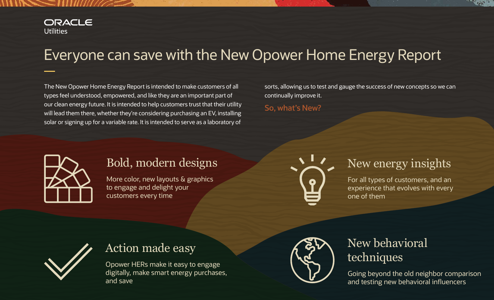# Everyone can save with the New Opower Home Energy Report

The New Opower Home Energy Report is intended to make customers of all sorts, allowing us to test and gauge the success of new concepts so we can types feel understood, empowered, and like they are an important part of continually improve it. our clean energy future. It is intended to help customers trust that their utility **So, what's New?**<br> **will lead them there, whether they're considering purchasing an EV, installing** solar or signing up for a variable rate. It is intended to serve as a laboratory of



# Bold, modern designs New energy insights

More color, new layouts & graphics  $\Box$  For all types of customers, and an to engage and delight your  $\blacksquare$ customers every time **one of them** one of them







# Action made easy Mew behavioral Research opower HERs make it easy to engage

digitally, make smart energy purchases, Going beyond the old neighbor comparison<br>and save and save and testing new behavioral influencers and testing new behavioral influencers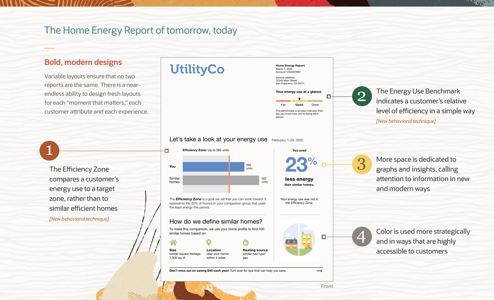## The Home Energy Report of tomorrow, today

## **Bold, modern designs**

Variable layouts ensure that no two reports are the same. There is a nearendless ability to design fresh layouts for each "moment that matters," each customer attribute and each experience.

 The Efficiency Zone similar efficient homes compares a customer's energy use to a target zone, rather than to *[New behavioral technique]* 

1

## **UtilityCo**

12345 Main Street San Francisco, CA 94111 This benchmark is an easy indicator that lets you know how you're doing each period. Your energy use at a glance Good Great

Home Energy Report March 1, 2020 Account 1234567890 Service address:

### Let's take a look at your energy use Februrary 1-29, 2020



2

The Energy Use Benchmark indicates a customer's relative level of efficiency in a simple way *[New behavioral technique]* 



than similar homes. less energy

You used

Your energy use was not in the Efficiency Zone.

More space is dedicated to graphs and insights, calling attention to information in new and modern ways



3

Color is used more strategically and in ways that are highly accessible to customers

*Front*